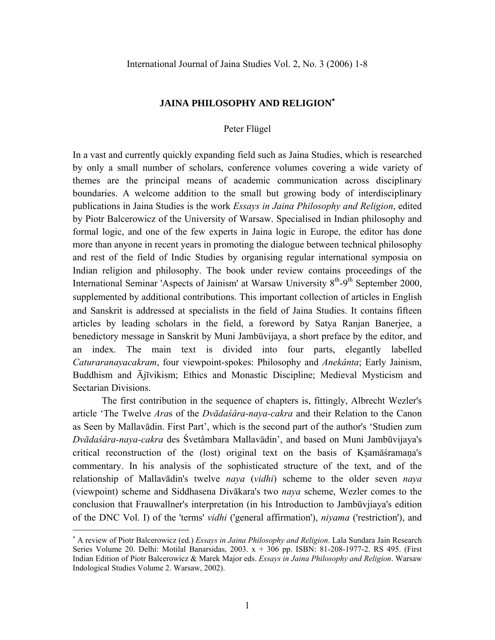## **JAINA PHILOSOPHY AND RELIGION**[∗](#page-0-0)

## Peter Flügel

In a vast and currently quickly expanding field such as Jaina Studies, which is researched by only a small number of scholars, conference volumes covering a wide variety of themes are the principal means of academic communication across disciplinary boundaries. A welcome addition to the small but growing body of interdisciplinary publications in Jaina Studies is the work *Essays in Jaina Philosophy and Religion*, edited by Piotr Balcerowicz of the University of Warsaw. Specialised in Indian philosophy and formal logic, and one of the few experts in Jaina logic in Europe, the editor has done more than anyone in recent years in promoting the dialogue between technical philosophy and rest of the field of Indic Studies by organising regular international symposia on Indian religion and philosophy. The book under review contains proceedings of the International Seminar 'Aspects of Jainism' at Warsaw University  $8<sup>th</sup>$ -9<sup>th</sup> September 2000, supplemented by additional contributions. This important collection of articles in English and Sanskrit is addressed at specialists in the field of Jaina Studies. It contains fifteen articles by leading scholars in the field, a foreword by Satya Ranjan Banerjee, a benedictory message in Sanskrit by Muni Jambūvijaya, a short preface by the editor, and an index. The main text is divided into four parts, elegantly labelled *Caturaranayacakram*, four viewpoint-spokes: Philosophy and *Anekânta*; Early Jainism, Buddhism and Ājīvikism; Ethics and Monastic Discipline; Medieval Mysticism and Sectarian Divisions.

The first contribution in the sequence of chapters is, fittingly, Albrecht Wezler's article 'The Twelve *Ara*s of the *Dvādaśâra-naya-cakra* and their Relation to the Canon as Seen by Mallavādin. First Part', which is the second part of the author's 'Studien zum *Dvādaśâra-naya-cakra* des Śvetâmbara Mallavādin', and based on Muni Jambūvijaya's critical reconstruction of the (lost) original text on the basis of Kṣamāśramaṇa's commentary. In his analysis of the sophisticated structure of the text, and of the relationship of Mallavādin's twelve *naya* (*vidhi*) scheme to the older seven *naya* (viewpoint) scheme and Siddhasena Divākara's two *naya* scheme, Wezler comes to the conclusion that Frauwallner's interpretation (in his Introduction to Jambūvjiaya's edition of the DNC Vol. I) of the 'terms' *vidhi* ('general affirmation'), *niyama* ('restriction'), and

 $\overline{a}$ 

<span id="page-0-0"></span><sup>∗</sup> A review of Piotr Balcerowicz (ed.) *Essays in Jaina Philosophy and Religion*. Lala Sundara Jain Research Series Volume 20. Delhi: Motilal Banarsidas, 2003. x + 306 pp. ISBN: 81-208-1977-2. RS 495. (First Indian Edition of Piotr Balcerowicz & Marek Major eds. *Essays in Jaina Philosophy and Religion*. Warsaw Indological Studies Volume 2. Warsaw, 2002).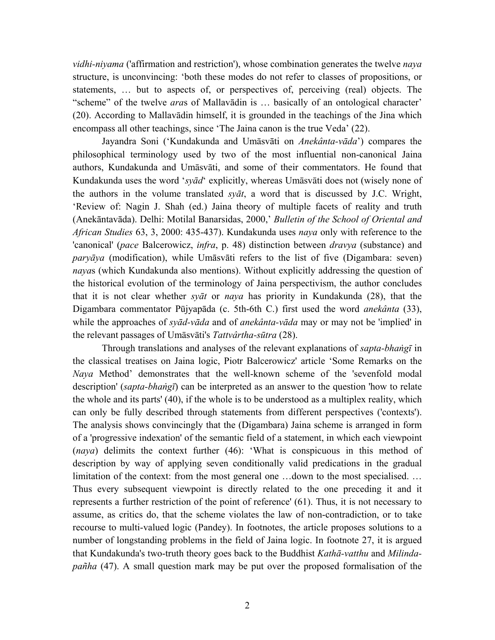*vidhi-niyama* ('affirmation and restriction'), whose combination generates the twelve *naya* structure, is unconvincing: 'both these modes do not refer to classes of propositions, or statements, … but to aspects of, or perspectives of, perceiving (real) objects. The "scheme" of the twelve *ara*s of Mallavādin is … basically of an ontological character' (20). According to Mallavādin himself, it is grounded in the teachings of the Jina which encompass all other teachings, since 'The Jaina canon is the true Veda' (22).

Jayandra Soni ('Kundakunda and Umāsvāti on *Anekânta-vāda*') compares the philosophical terminology used by two of the most influential non-canonical Jaina authors, Kundakunda and Umāsvāti, and some of their commentators. He found that Kundakunda uses the word '*syād*' explicitly, whereas Umāsvāti does not (wisely none of the authors in the volume translated *syāt*, a word that is discussed by J.C. Wright, 'Review of: Nagin J. Shah (ed.) Jaina theory of multiple facets of reality and truth (Anekāntavāda). Delhi: Motilal Banarsidas, 2000,' *Bulletin of the School of Oriental and African Studies* 63, 3, 2000: 435-437). Kundakunda uses *naya* only with reference to the 'canonical' (*pace* Balcerowicz, *infra*, p. 48) distinction between *dravya* (substance) and *paryāya* (modification), while Umāsvāti refers to the list of five (Digambara: seven) *naya*s (which Kundakunda also mentions). Without explicitly addressing the question of the historical evolution of the terminology of Jaina perspectivism, the author concludes that it is not clear whether *syāt* or *naya* has priority in Kundakunda (28), that the Digambara commentator Pūjyapāda (c. 5th-6th C.) first used the word *anekânta* (33), while the approaches of *syād-vāda* and of *anekânta-vāda* may or may not be 'implied' in the relevant passages of Umāsvāti's *Tattvârtha-sūtra* (28).

Through translations and analyses of the relevant explanations of *sapta-bhaṅgī* in the classical treatises on Jaina logic, Piotr Balcerowicz' article 'Some Remarks on the *Naya* Method' demonstrates that the well-known scheme of the 'sevenfold modal description' (*sapta-bhaṅgī*) can be interpreted as an answer to the question 'how to relate the whole and its parts' (40), if the whole is to be understood as a multiplex reality, which can only be fully described through statements from different perspectives ('contexts'). The analysis shows convincingly that the (Digambara) Jaina scheme is arranged in form of a 'progressive indexation' of the semantic field of a statement, in which each viewpoint (*naya*) delimits the context further (46): 'What is conspicuous in this method of description by way of applying seven conditionally valid predications in the gradual limitation of the context: from the most general one …down to the most specialised. … Thus every subsequent viewpoint is directly related to the one preceding it and it represents a further restriction of the point of reference' (61). Thus, it is not necessary to assume, as critics do, that the scheme violates the law of non-contradiction, or to take recourse to multi-valued logic (Pandey). In footnotes, the article proposes solutions to a number of longstanding problems in the field of Jaina logic. In footnote 27, it is argued that Kundakunda's two-truth theory goes back to the Buddhist *Kathā-vatthu* and *Milindapañha* (47). A small question mark may be put over the proposed formalisation of the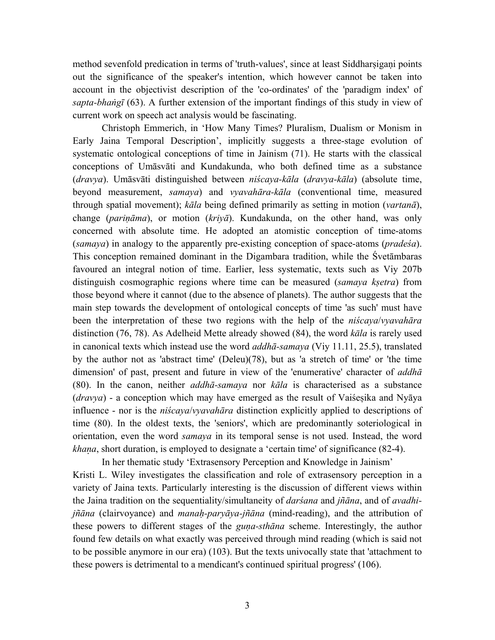method sevenfold predication in terms of 'truth-values', since at least Siddharsigani points out the significance of the speaker's intention, which however cannot be taken into account in the objectivist description of the 'co-ordinates' of the 'paradigm index' of *sapta-bhaṅgī* (63). A further extension of the important findings of this study in view of current work on speech act analysis would be fascinating.

Christoph Emmerich, in 'How Many Times? Pluralism, Dualism or Monism in Early Jaina Temporal Description', implicitly suggests a three-stage evolution of systematic ontological conceptions of time in Jainism (71). He starts with the classical conceptions of Umāsvāti and Kundakunda, who both defined time as a substance (*dravya*). Umāsvāti distinguished between *niścaya-kāla* (*dravya-kāla*) (absolute time, beyond measurement, *samaya*) and *vyavahāra-kāla* (conventional time, measured through spatial movement); *kāla* being defined primarily as setting in motion (*vartanā*), change (*pariṇāma*), or motion (*kriyā*). Kundakunda, on the other hand, was only concerned with absolute time. He adopted an atomistic conception of time-atoms (*samaya*) in analogy to the apparently pre-existing conception of space-atoms (*pradeśa*). This conception remained dominant in the Digambara tradition, while the Śvetāmbaras favoured an integral notion of time. Earlier, less systematic, texts such as Viy 207b distinguish cosmographic regions where time can be measured (*samaya kṣetra*) from those beyond where it cannot (due to the absence of planets). The author suggests that the main step towards the development of ontological concepts of time 'as such' must have been the interpretation of these two regions with the help of the *niścaya*/*vyavahāra* distinction (76, 78). As Adelheid Mette already showed (84), the word *kāla* is rarely used in canonical texts which instead use the word *addhā-samaya* (Viy 11.11, 25.5), translated by the author not as 'abstract time' (Deleu)(78), but as 'a stretch of time' or 'the time dimension' of past, present and future in view of the 'enumerative' character of *addhā* (80). In the canon, neither *addhā-samaya* nor *kāla* is characterised as a substance (*dravya*) - a conception which may have emerged as the result of Vaiśeṣika and Nyāya influence - nor is the *niścaya*/*vyavahāra* distinction explicitly applied to descriptions of time (80). In the oldest texts, the 'seniors', which are predominantly soteriological in orientation, even the word *samaya* in its temporal sense is not used. Instead, the word *khaa*, short duration, is employed to designate a 'certain time' of significance (82-4).

In her thematic study 'Extrasensory Perception and Knowledge in Jainism' Kristi L. Wiley investigates the classification and role of extrasensory perception in a variety of Jaina texts. Particularly interesting is the discussion of different views within the Jaina tradition on the sequentiality/simultaneity of *darśana* and *jñāna*, and of *avadhijñāna* (clairvoyance) and *manaḥ-paryāya-jñāna* (mind-reading), and the attribution of these powers to different stages of the *guṇa-sthāna* scheme. Interestingly, the author found few details on what exactly was perceived through mind reading (which is said not to be possible anymore in our era) (103). But the texts univocally state that 'attachment to these powers is detrimental to a mendicant's continued spiritual progress' (106).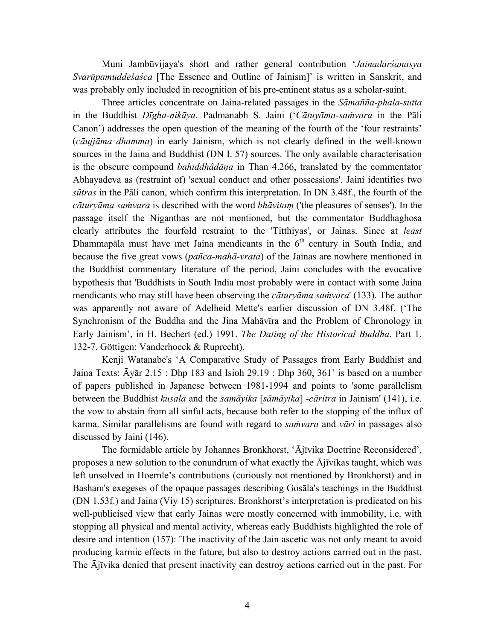Muni Jambūvijaya's short and rather general contribution '*Jainadarśanasya Svarūpamuddeśaśca* [The Essence and Outline of Jainism]' is written in Sanskrit, and was probably only included in recognition of his pre-eminent status as a scholar-saint.

Three articles concentrate on Jaina-related passages in the *Sāmañña-phala-sutta* in the Buddhist *Dīgha-nikāya*. Padmanabh S. Jaini ('*Cātuyāma-saṁvara* in the Pāli Canon') addresses the open question of the meaning of the fourth of the 'four restraints' (*cāujjāma dhamma*) in early Jainism, which is not clearly defined in the well-known sources in the Jaina and Buddhist (DN I. 57) sources. The only available characterisation is the obscure compound *bahiddhâdāṇa* in Than 4.266, translated by the commentator Abhayadeva as (restraint of) 'sexual conduct and other possessions'. Jaini identifies two *sūtras* in the Pāli canon, which confirm this interpretation. In DN 3.48f., the fourth of the *cāturyāma saṁvara* is described with the word *bhāvitaṃ* ('the pleasures of senses'). In the passage itself the Niganthas are not mentioned, but the commentator Buddhaghosa clearly attributes the fourfold restraint to the 'Titthiyas', or Jainas. Since at *least* Dhammapāla must have met Jaina mendicants in the  $6<sup>th</sup>$  century in South India, and because the five great vows (*pañca-mahā-vrata*) of the Jainas are nowhere mentioned in the Buddhist commentary literature of the period, Jaini concludes with the evocative hypothesis that 'Buddhists in South India most probably were in contact with some Jaina mendicants who may still have been observing the *cāturyāma saṁvara*' (133). The author was apparently not aware of Adelheid Mette's earlier discussion of DN 3.48f. ('The Synchronism of the Buddha and the Jina Mahāvīra and the Problem of Chronology in Early Jainism', in H. Bechert (ed.) 1991. *The Dating of the Historical Buddha*. Part 1, 132-7. Gšttigen: Vanderhoeck & Ruprecht).

Kenji Watanabe's 'A Comparative Study of Passages from Early Buddhist and Jaina Texts: Āyār 2.15 : Dhp 183 and Isioh 29.19 : Dhp 360, 361' is based on a number of papers published in Japanese between 1981-1994 and points to 'some parallelism between the Buddhist *kusala* and the *samāyika* [*sāmāyika*] -*cāritra* in Jainism' (141), i.e. the vow to abstain from all sinful acts, because both refer to the stopping of the influx of karma. Similar parallelisms are found with regard to *saṁvara* and *vāri* in passages also discussed by Jaini (146).

The formidable article by Johannes Bronkhorst, 'Ājīvika Doctrine Reconsidered', proposes a new solution to the conundrum of what exactly the  $\overline{A}$  jīvikas taught, which was left unsolved in Hoernle's contributions (curiously not mentioned by Bronkhorst) and in Basham's exegeses of the opaque passages describing Gosāla's teachings in the Buddhist (DN 1.53f.) and Jaina (Viy 15) scriptures. Bronkhorst's interpretation is predicated on his well-publicised view that early Jainas were mostly concerned with immobility, i.e. with stopping all physical and mental activity, whereas early Buddhists highlighted the role of desire and intention (157): 'The inactivity of the Jain ascetic was not only meant to avoid producing karmic effects in the future, but also to destroy actions carried out in the past. The Ājīvika denied that present inactivity can destroy actions carried out in the past. For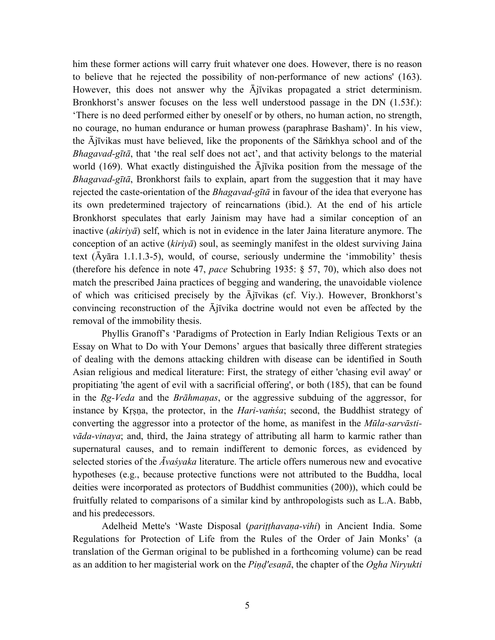him these former actions will carry fruit whatever one does. However, there is no reason to believe that he rejected the possibility of non-performance of new actions' (163). However, this does not answer why the Ājīvikas propagated a strict determinism. Bronkhorst's answer focuses on the less well understood passage in the DN (1.53f.): 'There is no deed performed either by oneself or by others, no human action, no strength, no courage, no human endurance or human prowess (paraphrase Basham)'. In his view, the Ājīvikas must have believed, like the proponents of the Sāṁkhya school and of the *Bhagavad-gītā*, that 'the real self does not act', and that activity belongs to the material world (169). What exactly distinguished the Ājīvika position from the message of the *Bhagavad-gītā*, Bronkhorst fails to explain, apart from the suggestion that it may have rejected the caste-orientation of the *Bhagavad-gītā* in favour of the idea that everyone has its own predetermined trajectory of reincarnations (ibid.). At the end of his article Bronkhorst speculates that early Jainism may have had a similar conception of an inactive (*akiriyā*) self, which is not in evidence in the later Jaina literature anymore. The conception of an active (*kiriyā*) soul, as seemingly manifest in the oldest surviving Jaina text ( $\bar{A}$ yāra 1.1.1.3-5), would, of course, seriously undermine the 'immobility' thesis (therefore his defence in note 47, *pace* Schubring 1935: ¤ 57, 70), which also does not match the prescribed Jaina practices of begging and wandering, the unavoidable violence of which was criticised precisely by the Ājīvikas (cf. Viy.). However, Bronkhorst's convincing reconstruction of the Ājīvika doctrine would not even be affected by the removal of the immobility thesis.

Phyllis Granoff's 'Paradigms of Protection in Early Indian Religious Texts or an Essay on What to Do with Your Demons' argues that basically three different strategies of dealing with the demons attacking children with disease can be identified in South Asian religious and medical literature: First, the strategy of either 'chasing evil away' or propitiating 'the agent of evil with a sacrificial offering', or both (185), that can be found in the *Ṛg-Veda* and the *Brāhmaṇas*, or the aggressive subduing of the aggressor, for instance by Krsna, the protector, in the *Hari-vamsa*; second, the Buddhist strategy of converting the aggressor into a protector of the home, as manifest in the *Mūla-sarvāstivāda-vinaya*; and, third, the Jaina strategy of attributing all harm to karmic rather than supernatural causes, and to remain indifferent to demonic forces, as evidenced by selected stories of the *Āvaśyaka* literature. The article offers numerous new and evocative hypotheses (e.g., because protective functions were not attributed to the Buddha, local deities were incorporated as protectors of Buddhist communities (200)), which could be fruitfully related to comparisons of a similar kind by anthropologists such as L.A. Babb, and his predecessors.

Adelheid Mette's 'Waste Disposal (*pariṭṭhavaṇa-vihi*) in Ancient India. Some Regulations for Protection of Life from the Rules of the Order of Jain Monks' (a translation of the German original to be published in a forthcoming volume) can be read as an addition to her magisterial work on the *Piṇḍ'esaṇā*, the chapter of the *Ogha Niryukti*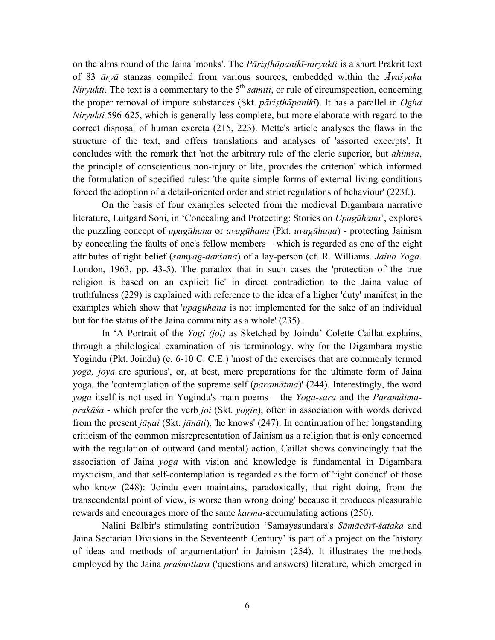on the alms round of the Jaina 'monks'. The *Pāriṣṭhāpanikī-niryukti* is a short Prakrit text of 83 *āryā* stanzas compiled from various sources, embedded within the *Āvaśyaka Niryukti*. The text is a commentary to the 5<sup>th</sup> *samiti*, or rule of circumspection, concerning the proper removal of impure substances (Skt. *pāriṣṭhāpanikī*). It has a parallel in *Ogha Niryukti* 596-625, which is generally less complete, but more elaborate with regard to the correct disposal of human excreta (215, 223). Mette's article analyses the flaws in the structure of the text, and offers translations and analyses of 'assorted excerpts'. It concludes with the remark that 'not the arbitrary rule of the cleric superior, but *ahiṁsā*, the principle of conscientious non-injury of life, provides the criterion' which informed the formulation of specified rules: 'the quite simple forms of external living conditions forced the adoption of a detail-oriented order and strict regulations of behaviour' (223f.).

On the basis of four examples selected from the medieval Digambara narrative literature, Luitgard Soni, in 'Concealing and Protecting: Stories on *Upagūhana*', explores the puzzling concept of *upagūhana* or *avagūhana* (Pkt. *uvagūhaṇa*) - protecting Jainism by concealing the faults of one's fellow members – which is regarded as one of the eight attributes of right belief (*samyag-darśana*) of a lay-person (cf. R. Williams. *Jaina Yoga*. London, 1963, pp. 43-5). The paradox that in such cases the 'protection of the true religion is based on an explicit lie' in direct contradiction to the Jaina value of truthfulness (229) is explained with reference to the idea of a higher 'duty' manifest in the examples which show that '*upagūhana* is not implemented for the sake of an individual but for the status of the Jaina community as a whole' (235).

In 'A Portrait of the *Yogi (joi)* as Sketched by Joindu' Colette Caillat explains, through a philological examination of his terminology, why for the Digambara mystic Yogindu (Pkt. Joindu) (c. 6-10 C. C.E.) 'most of the exercises that are commonly termed *yoga, joya* are spurious', or, at best, mere preparations for the ultimate form of Jaina yoga, the 'contemplation of the supreme self (*paramâtma*)' (244). Interestingly, the word *yoga* itself is not used in Yogindu's main poems – the *Yoga-sara* and the *Paramâtmaprakāśa* - which prefer the verb *joi* (Skt. *yogin*), often in association with words derived from the present *jāṇai* (Skt. *jānāti*), 'he knows' (247). In continuation of her longstanding criticism of the common misrepresentation of Jainism as a religion that is only concerned with the regulation of outward (and mental) action, Caillat shows convincingly that the association of Jaina *yoga* with vision and knowledge is fundamental in Digambara mysticism, and that self-contemplation is regarded as the form of 'right conduct' of those who know (248): 'Joindu even maintains, paradoxically, that right doing, from the transcendental point of view, is worse than wrong doing' because it produces pleasurable rewards and encourages more of the same *karma*-accumulating actions (250).

Nalini Balbir's stimulating contribution 'Samayasundara's *Sāmācārī-śataka* and Jaina Sectarian Divisions in the Seventeenth Century' is part of a project on the 'history of ideas and methods of argumentation' in Jainism (254). It illustrates the methods employed by the Jaina *praśnottara* ('questions and answers) literature, which emerged in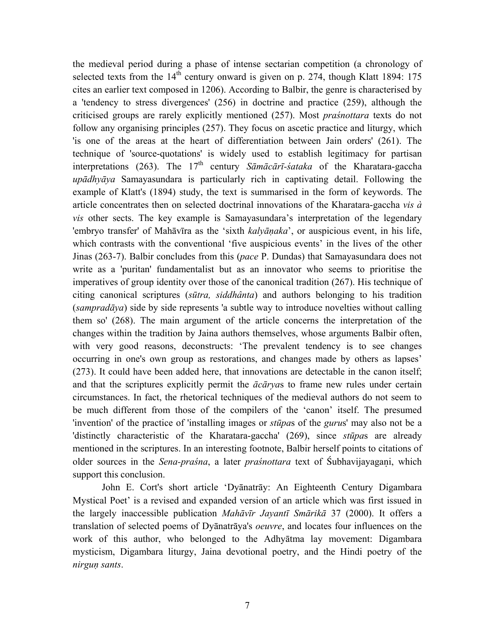the medieval period during a phase of intense sectarian competition (a chronology of selected texts from the  $14<sup>th</sup>$  century onward is given on p. 274, though Klatt 1894: 175 cites an earlier text composed in 1206). According to Balbir, the genre is characterised by a 'tendency to stress divergences' (256) in doctrine and practice (259), although the criticised groups are rarely explicitly mentioned (257). Most *praśnottara* texts do not follow any organising principles (257). They focus on ascetic practice and liturgy, which 'is one of the areas at the heart of differentiation between Jain orders' (261). The technique of 'source-quotations' is widely used to establish legitimacy for partisan interpretations (263). The 17<sup>th</sup> century *Sāmācārī-śataka* of the Kharatara-gaccha *upādhyāya* Samayasundara is particularly rich in captivating detail. Following the example of Klatt's (1894) study, the text is summarised in the form of keywords. The article concentrates then on selected doctrinal innovations of the Kharatara-gaccha *vis à vis* other sects. The key example is Samayasundara's interpretation of the legendary 'embryo transfer' of Mahāvīra as the 'sixth *kalyāṇaka*', or auspicious event, in his life, which contrasts with the conventional 'five auspicious events' in the lives of the other Jinas (263-7). Balbir concludes from this (*pace* P. Dundas) that Samayasundara does not write as a 'puritan' fundamentalist but as an innovator who seems to prioritise the imperatives of group identity over those of the canonical tradition (267). His technique of citing canonical scriptures (*sūtra, siddhânta*) and authors belonging to his tradition (*sampradāya*) side by side represents 'a subtle way to introduce novelties without calling them so' (268). The main argument of the article concerns the interpretation of the changes within the tradition by Jaina authors themselves, whose arguments Balbir often, with very good reasons, deconstructs: 'The prevalent tendency is to see changes occurring in one's own group as restorations, and changes made by others as lapses' (273). It could have been added here, that innovations are detectable in the canon itself; and that the scriptures explicitly permit the *ācārya*s to frame new rules under certain circumstances. In fact, the rhetorical techniques of the medieval authors do not seem to be much different from those of the compilers of the 'canon' itself. The presumed 'invention' of the practice of 'installing images or *stūpa*s of the *guru*s' may also not be a 'distinctly characteristic of the Kharatara-gaccha' (269), since *stūpa*s are already mentioned in the scriptures. In an interesting footnote, Balbir herself points to citations of older sources in the *Sena-praśna*, a later *praśnottara* text of Śubhavijayagai, which support this conclusion.

John E. Cort's short article 'Dyānatrāy: An Eighteenth Century Digambara Mystical Poet' is a revised and expanded version of an article which was first issued in the largely inaccessible publication *Mahāvīr Jayantī Smārikā* 37 (2000). It offers a translation of selected poems of Dyānatrāya's *oeuvre*, and locates four influences on the work of this author, who belonged to the Adhyātma lay movement: Digambara mysticism, Digambara liturgy, Jaina devotional poetry, and the Hindi poetry of the *nirguṇ sants*.